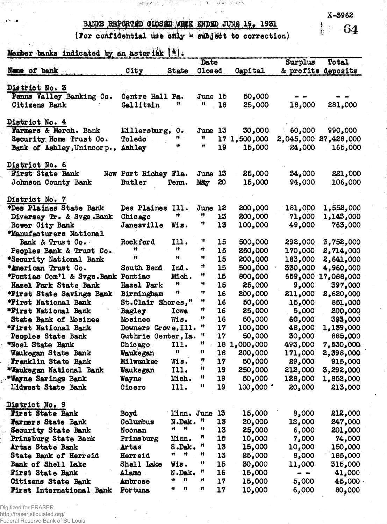BANKS REPORTED GLOSED WEEK ENDED JUNE 19, 1931

(For confidential use only - subject to correction)

 $\mathcal{M}^{\mathcal{M}}_{\mathcal{M}}(\mathcal{M})=\mathcal{M}^{\mathcal{M}}_{\mathcal{M}}(\mathcal{M})=\mathcal{M}^{\mathcal{M}}_{\mathcal{M}}(\mathcal{M})=\mathcal{M}^{\mathcal{M}}_{\mathcal{M}}(\mathcal{M})=\mathcal{M}^{\mathcal{M}}_{\mathcal{M}}(\mathcal{M})=\mathcal{M}^{\mathcal{M}}_{\mathcal{M}}(\mathcal{M})$ 

Member banks indicated by an asterisk (#).

|                                     |                      |                | Date    |                 |                        | Surplus | Total<br>& profits deposits |
|-------------------------------------|----------------------|----------------|---------|-----------------|------------------------|---------|-----------------------------|
| Nume of bank                        | City<br><b>State</b> |                | Closed  |                 | Capital                |         |                             |
|                                     |                      |                |         |                 |                        |         |                             |
| District No. 3                      |                      |                |         |                 |                        |         |                             |
| Penns Valley Banking Co.            | Centre Hall Pa.      |                | June 15 |                 | 50,000                 |         |                             |
| Citizens Bank                       | Gallitzin            | 11             | Ħ       | 18              | 25,000                 | 18,000  | 281,000                     |
|                                     |                      |                |         |                 |                        |         |                             |
| District No. 4                      |                      |                |         |                 |                        |         |                             |
| Farmers & Merch. Bank               | Millersburg,         | $0 \cdot$      | June    | 13              | 30,000                 | 60,000  | 990,000                     |
| Security Home Trust Co.             | Toledo               | n              | n       | 17 <sub>2</sub> | 1,500,000              |         | 2,045,000 27,428,000        |
| Bank of Ashley, Unincorp.,          | Ashley               | u              | Ħ       | 19              | 15,000                 | 24,000  | 165,000                     |
|                                     |                      |                |         |                 |                        |         |                             |
| District No. 6                      |                      |                |         |                 |                        |         |                             |
| <b>First State Bank</b>             | New Port Richey Fla. |                | June 13 |                 | 25,000                 | 34,000  | 221,000                     |
| Johnson County Bank                 | <b>Butler</b>        | Tenn.          | May     | 20              | 15,000                 | 94,000  | 106,000                     |
|                                     |                      |                |         |                 |                        |         |                             |
| District No. 7                      |                      |                |         |                 |                        |         |                             |
| *Des Plaines State Bank             | Des Plaines Ill.     |                | June    | 12              | 200,000                | 181,000 | 1,552,000                   |
| Diversey Tr. & Svgs.Bank            | Chicago              | Ħ              | n       | 13              | 200,000                | 71,000  | 1,143,000                   |
| Bower City Bank                     | Janesville           | Wis.           | Ħ       | 13              | 100,000                | 49,000  | 763,000                     |
| *Manufacturers National             |                      |                |         |                 |                        |         |                             |
| Bank & Trust Co.                    | Rockford             | 111.           | Ħ       | 15              | 500,000                | 292,000 | 3,752,000                   |
| Peoples Bank & Trust Co.            | Ħ                    | 19             | Ħ       | 15              | 250,000                | 170,000 | 2,714,000                   |
| *Security National Bank             | Ħ                    | n              | n       | 15              | 200,000                | 183,000 | 2,641,000                   |
| *American Trust Co.                 | South Bend           | Ind.           | n       | 15              | 500,000                | 330,000 | 4,960,000                   |
| *Pontiac Com'l & Svgs. Bank Pontiac |                      | Mich.          | n       | 15              | 800,000                | 659,000 | 17,088,000                  |
| Hazel Park State Bank               | Hazel Park           | n              | Ħ       | 15              | 25,000                 | 9,000   | 397,000                     |
| *First State Savings Bank           | Birmingham           | Ħ              | Ħ       | 16              | 200,000                | 211,000 | 2,620,000                   |
| *First National Bank                | St.Clair Shores,"    |                | n       | 16              | 50,000                 | 15,000  | 851,000                     |
| *First National Bank                | Bagley               | Iowa           | Ħ       | 16              | 25,000                 | 5,000   | 200,000                     |
| State Bank of Mosinee               | Mosinee              | Wis.           | n       | 16              | 50,000                 | 60,000  | 393,000                     |
| *First National Bank                | Downers Grove, Ill.  |                | n       | 17              | 100,000                | 48,000  | 1,139,000                   |
| Peoples State Bank                  | Guthrie Center, Ia.  |                | Ħ       | 17              | 50,000                 | 30,000  | 885,000                     |
| *Noel State Bank                    | Chicago              | 111.           | n       | 18              | 1,000,000              | 493,000 | 7,530,000                   |
| Waukegan State Bank                 | Waukegan             | $\mathbf{n}$   | Ħ       | 18              | 200,000                | 171,000 | 2,398,000                   |
| Franklin State Bank                 | Milwaukee            | Wis.           | Ħ       | 17              | 50,000                 | 29,000  | 915,000                     |
| *Waukegan National Bank             | Waukegan             | 111.           | Ħ       | 19              | 250,000                | 212,000 | 3,292,000                   |
| *Wayne Savings Bank                 | Wayne                | Mich.          | Ħ       | 19              | 50,000                 | 128,000 | 1,852,000                   |
| Midwest State Bank                  | Cicero               | 111.           | n       | 19              | $100,000$ <sup>*</sup> | 20,000  | 213,000                     |
|                                     |                      |                |         |                 |                        |         |                             |
| District No. 9                      |                      |                |         |                 |                        |         |                             |
| First State Bank                    | Boyd                 | Minn. June     |         | 13              | 15,000                 | 8,000   | 212,000                     |
| <b>Farmers State Bank</b>           | Columbus             | N.Dak.         | π       | 13              | 20,000                 | 12,000  | 247,000                     |
| Security State Bank                 | Noonan               | Ħ<br>1t        | n       | 13              | 25,000                 | 6,000   | 201,000                     |
| Prinsburg State Bank                | Prinsburg            | Minn.          |         | 15              | 10,000                 | 7,000   | 74,000                      |
| Artas State Bank                    | <b>Artas</b>         | $S$ . Da $k$ . | n       | 13              | 15,000                 | 10,000  | 150,000                     |
| State Bank of Herreid               | Herreid              | 11<br>Ħ        | n       | 13              | 25,000                 | 8,000   | 185,000                     |
| Bank of Shell Lake                  | Shell Lake           | Wis.           | n       | 15              | 30,000                 | 11,000  | 315,000                     |
| First State Bank                    | Alamo                | N.Dak.         | Ħ       | 16              | 15,000                 |         | 41,000                      |
| Citizens State Bank                 | Ambrose              | n<br>n         | Ħ       | 17              | 15,000                 | 5,000   | 45,000                      |
| <b>Pirst International Bank</b>     | For tuna             | n<br>Ħ         | n       | 17              | 10,000                 | 6,000   | 80,000                      |

Digitized for FRASER http://fraser.stlouisfed.org/ Federal Reserve Bank of St. Louis  $X - 3962$ 

 $64$